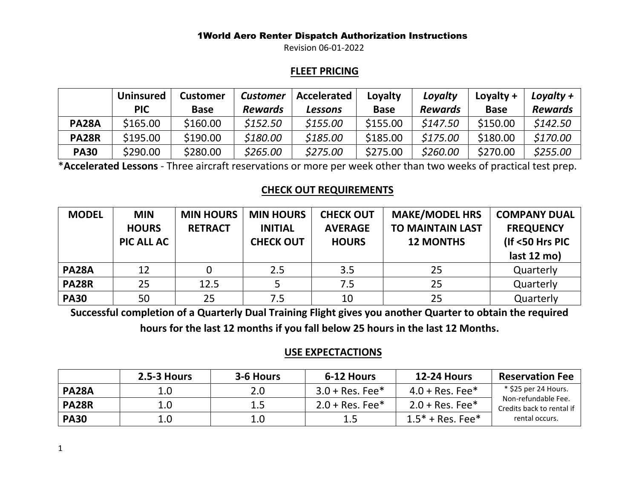Revision 06-01-2022

## **FLEET PRICING**

|              | <b>Uninsured</b> | <b>Customer</b> | Customer       | Accelerated | Loyalty     | Loyalty        | Loyalty $+$ | Loyalty $+$    |
|--------------|------------------|-----------------|----------------|-------------|-------------|----------------|-------------|----------------|
|              | <b>PIC</b>       | <b>Base</b>     | <b>Rewards</b> | Lessons     | <b>Base</b> | <b>Rewards</b> | <b>Base</b> | <b>Rewards</b> |
| <b>PA28A</b> | \$165.00         | \$160.00        | \$152.50       | \$155.00    | \$155.00    | \$147.50       | \$150.00    | \$142.50       |
| <b>PA28R</b> | \$195.00         | \$190.00        | \$180.00       | \$185.00    | \$185.00    | \$175.00       | \$180.00    | \$170.00       |
| <b>PA30</b>  | \$290.00         | \$280.00        | \$265.00       | \$275.00    | \$275.00    | \$260.00       | \$270.00    | \$255.00       |

\***Accelerated Lessons** - Three aircraft reservations or more per week other than two weeks of practical test prep.

## **CHECK OUT REQUIREMENTS**

| <b>MODEL</b> | <b>MIN</b><br><b>HOURS</b><br>PIC ALL AC | <b>MIN HOURS</b><br><b>RETRACT</b> | <b>MIN HOURS</b><br><b>INITIAL</b><br><b>CHECK OUT</b> | <b>CHECK OUT</b><br><b>AVERAGE</b><br><b>HOURS</b> | <b>MAKE/MODEL HRS</b><br><b>TO MAINTAIN LAST</b><br><b>12 MONTHS</b> | <b>COMPANY DUAL</b><br><b>FREQUENCY</b><br>(If <50 Hrs PIC<br>last 12 mo) |
|--------------|------------------------------------------|------------------------------------|--------------------------------------------------------|----------------------------------------------------|----------------------------------------------------------------------|---------------------------------------------------------------------------|
| <b>PA28A</b> | 12                                       |                                    | 2.5                                                    | 3.5                                                | 25                                                                   | Quarterly                                                                 |
| <b>PA28R</b> | 25                                       | 12.5                               |                                                        | 7.5                                                | 25                                                                   | Quarterly                                                                 |
| <b>PA30</b>  | 50                                       | 25                                 | 7.5                                                    | 10                                                 | 25                                                                   | Quarterly                                                                 |

**Successful completion of a Quarterly Dual Training Flight gives you another Quarter to obtain the required** 

**hours for the last 12 months if you fall below 25 hours in the last 12 Months.**

## **USE EXPECTACTIONS**

|              | $2.5 - 3$ Hours | 3-6 Hours | 6-12 Hours        | <b>12-24 Hours</b> | <b>Reservation Fee</b>                           |
|--------------|-----------------|-----------|-------------------|--------------------|--------------------------------------------------|
| <b>PA28A</b> | 1.0             | 2.0       | $3.0 + Res. Fee*$ | $4.0 + Res. Fee*$  | * \$25 per 24 Hours.                             |
| <b>PA28R</b> | 1.0             | 1.5       | $2.0 + Res. Fee*$ | $2.0 + Res. Fee*$  | Non-refundable Fee.<br>Credits back to rental if |
| <b>PA30</b>  | 1.0             | 1.0       | 1.5               | $1.5* + Res. Fee*$ | rental occurs.                                   |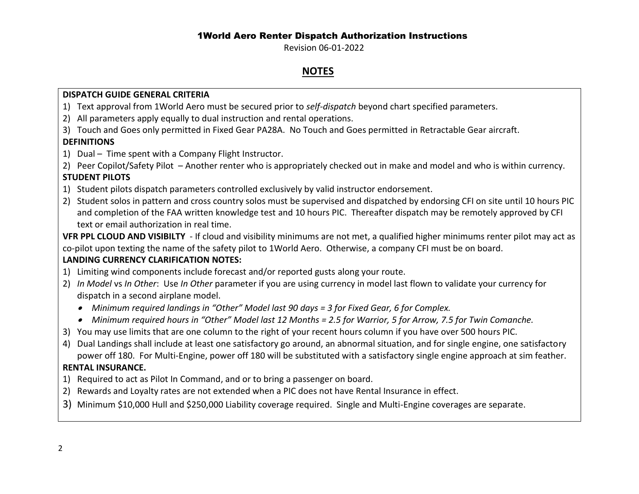Revision 06-01-2022

## **NOTES**

#### **DISPATCH GUIDE GENERAL CRITERIA**

- 1) Text approval from 1World Aero must be secured prior to *self-dispatch* beyond chart specified parameters.
- 2) All parameters apply equally to dual instruction and rental operations.
- 3) Touch and Goes only permitted in Fixed Gear PA28A. No Touch and Goes permitted in Retractable Gear aircraft.

## **DEFINITIONS**

- 1) Dual Time spent with a Company Flight Instructor.
- 2) Peer Copilot/Safety Pilot Another renter who is appropriately checked out in make and model and who is within currency.

## **STUDENT PILOTS**

- 1) Student pilots dispatch parameters controlled exclusively by valid instructor endorsement.
- 2) Student solos in pattern and cross country solos must be supervised and dispatched by endorsing CFI on site until 10 hours PIC and completion of the FAA written knowledge test and 10 hours PIC. Thereafter dispatch may be remotely approved by CFI text or email authorization in real time.

**VFR PPL CLOUD AND VISIBILTY** - If cloud and visibility minimums are not met, a qualified higher minimums renter pilot may act as co-pilot upon texting the name of the safety pilot to 1World Aero. Otherwise, a company CFI must be on board.

## **LANDING CURRENCY CLARIFICATION NOTES:**

- 1) Limiting wind components include forecast and/or reported gusts along your route.
- 2) *In Model* vs *In Other*: Use *In Other* parameter if you are using currency in model last flown to validate your currency for dispatch in a second airplane model.
	- *Minimum required landings in "Other" Model last 90 days = 3 for Fixed Gear, 6 for Complex.*
	- *Minimum required hours in "Other" Model last 12 Months = 2.5 for Warrior, 5 for Arrow, 7.5 for Twin Comanche.*
- 3) You may use limits that are one column to the right of your recent hours column if you have over 500 hours PIC.
- 4) Dual Landings shall include at least one satisfactory go around, an abnormal situation, and for single engine, one satisfactory power off 180. For Multi-Engine, power off 180 will be substituted with a satisfactory single engine approach at sim feather.

## **RENTAL INSURANCE.**

- 1) Required to act as Pilot In Command, and or to bring a passenger on board.
- 2) Rewards and Loyalty rates are not extended when a PIC does not have Rental Insurance in effect.
- 3) Minimum \$10,000 Hull and \$250,000 Liability coverage required. Single and Multi-Engine coverages are separate.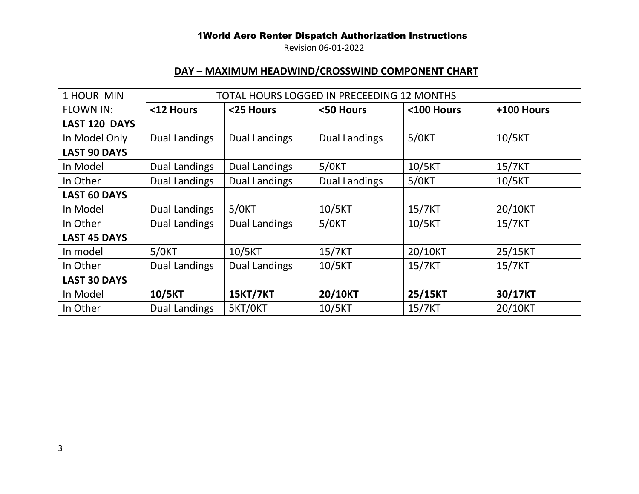Revision 06-01-2022

# **DAY – MAXIMUM HEADWIND/CROSSWIND COMPONENT CHART**

| 1 HOUR MIN          |                      |                      | TOTAL HOURS LOGGED IN PRECEEDING 12 MONTHS |            |            |
|---------------------|----------------------|----------------------|--------------------------------------------|------------|------------|
| <b>FLOWN IN:</b>    | <12 Hours            | <25 Hours            | <50 Hours                                  | <100 Hours | +100 Hours |
| LAST 120 DAYS       |                      |                      |                                            |            |            |
| In Model Only       | <b>Dual Landings</b> | <b>Dual Landings</b> | <b>Dual Landings</b>                       | $5/0$ KT   | 10/5KT     |
| <b>LAST 90 DAYS</b> |                      |                      |                                            |            |            |
| In Model            | <b>Dual Landings</b> | <b>Dual Landings</b> | $5/0$ KT                                   | 10/5KT     | 15/7KT     |
| In Other            | Dual Landings        | <b>Dual Landings</b> | <b>Dual Landings</b>                       | $5/0$ KT   | 10/5KT     |
| <b>LAST 60 DAYS</b> |                      |                      |                                            |            |            |
| In Model            | Dual Landings        | $5/0$ KT             | 10/5KT                                     | 15/7KT     | 20/10KT    |
| In Other            | <b>Dual Landings</b> | <b>Dual Landings</b> | $5/0$ KT                                   | 10/5KT     | 15/7KT     |
| <b>LAST 45 DAYS</b> |                      |                      |                                            |            |            |
| In model            | $5/0$ KT             | 10/5KT               | 15/7KT                                     | 20/10KT    | 25/15KT    |
| In Other            | <b>Dual Landings</b> | <b>Dual Landings</b> | 10/5KT                                     | 15/7KT     | 15/7KT     |
| <b>LAST 30 DAYS</b> |                      |                      |                                            |            |            |
| In Model            | 10/5KT               | <b>15KT/7KT</b>      | 20/10KT                                    | 25/15KT    | 30/17KT    |
| In Other            | <b>Dual Landings</b> | 5KT/OKT              | 10/5KT                                     | 15/7KT     | 20/10KT    |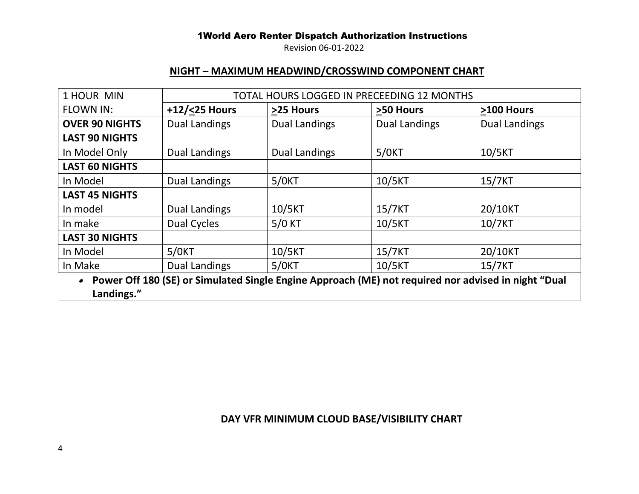Revision 06-01-2022

## **NIGHT – MAXIMUM HEADWIND/CROSSWIND COMPONENT CHART**

| 1 HOUR MIN            |                      |                      | TOTAL HOURS LOGGED IN PRECEEDING 12 MONTHS                                                          |                      |
|-----------------------|----------------------|----------------------|-----------------------------------------------------------------------------------------------------|----------------------|
| <b>FLOWN IN:</b>      | +12/<25 Hours        | >25 Hours            | >50 Hours                                                                                           | >100 Hours           |
| <b>OVER 90 NIGHTS</b> | <b>Dual Landings</b> | <b>Dual Landings</b> | <b>Dual Landings</b>                                                                                | <b>Dual Landings</b> |
| <b>LAST 90 NIGHTS</b> |                      |                      |                                                                                                     |                      |
| In Model Only         | <b>Dual Landings</b> | <b>Dual Landings</b> | $5/0$ KT                                                                                            | 10/5KT               |
| <b>LAST 60 NIGHTS</b> |                      |                      |                                                                                                     |                      |
| In Model              | <b>Dual Landings</b> | $5/0$ KT             | 10/5KT                                                                                              | 15/7KT               |
| <b>LAST 45 NIGHTS</b> |                      |                      |                                                                                                     |                      |
| In model              | <b>Dual Landings</b> | 10/5KT               | 15/7KT                                                                                              | 20/10KT              |
| In make               | <b>Dual Cycles</b>   | $5/0$ KT             | 10/5KT                                                                                              | 10/7KT               |
| <b>LAST 30 NIGHTS</b> |                      |                      |                                                                                                     |                      |
| In Model              | $5/0$ KT             | 10/5KT               | 15/7KT                                                                                              | 20/10KT              |
| In Make               | <b>Dual Landings</b> | $5/0$ KT             | 10/5KT                                                                                              | 15/7KT               |
|                       |                      |                      | Power Off 180 (SE) or Simulated Single Engine Approach (ME) not required nor advised in night "Dual |                      |
| Landings."            |                      |                      |                                                                                                     |                      |

# **DAY VFR MINIMUM CLOUD BASE/VISIBILITY CHART**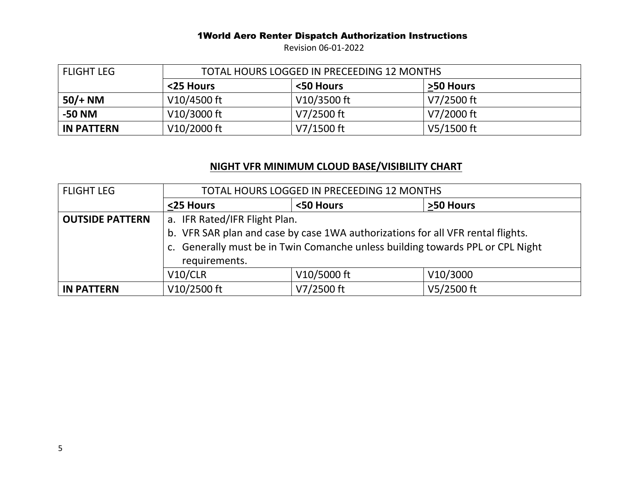Revision 06-01-2022

| l FLIGHT LEG      | TOTAL HOURS LOGGED IN PRECEEDING 12 MONTHS |              |                     |  |
|-------------------|--------------------------------------------|--------------|---------------------|--|
|                   | <25 Hours                                  | <50 Hours    | <b>&gt;50 Hours</b> |  |
| $50/+ NM$         | V10/4500 ft                                | V10/3500 ft  | V7/2500 ft          |  |
| -50 NM            | $V10/3000$ ft                              | V7/2500 ft   | V7/2000 ft          |  |
| <b>IN PATTERN</b> | V10/2000 ft                                | $V7/1500$ ft | $V5/1500$ ft        |  |

# **NIGHT VFR MINIMUM CLOUD BASE/VISIBILITY CHART**

| <b>FLIGHT LEG</b>      | TOTAL HOURS LOGGED IN PRECEEDING 12 MONTHS                                                                                                                                         |             |            |  |  |
|------------------------|------------------------------------------------------------------------------------------------------------------------------------------------------------------------------------|-------------|------------|--|--|
|                        | <25 Hours                                                                                                                                                                          | <50 Hours   | >50 Hours  |  |  |
| <b>OUTSIDE PATTERN</b> | a. IFR Rated/IFR Flight Plan.                                                                                                                                                      |             |            |  |  |
|                        | b. VFR SAR plan and case by case 1WA authorizations for all VFR rental flights.<br>c. Generally must be in Twin Comanche unless building towards PPL or CPL Night<br>requirements. |             |            |  |  |
|                        | V10/CLR                                                                                                                                                                            | V10/5000 ft | V10/3000   |  |  |
| <b>IN PATTERN</b>      | V10/2500 ft                                                                                                                                                                        | V7/2500 ft  | V5/2500 ft |  |  |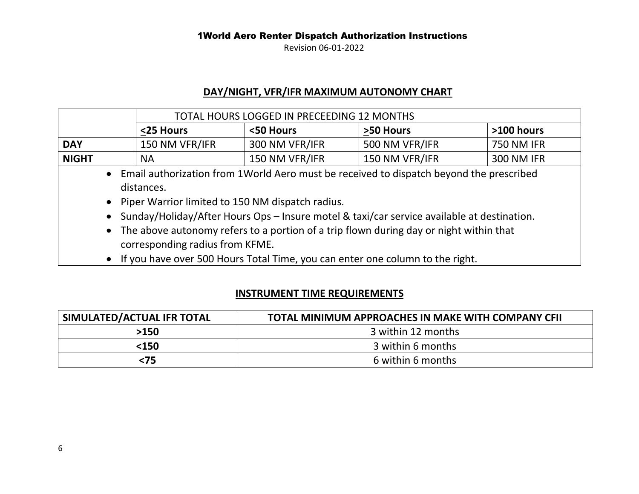Revision 06-01-2022

## **DAY/NIGHT, VFR/IFR MAXIMUM AUTONOMY CHART**

|                                                                                                          |                | TOTAL HOURS LOGGED IN PRECEEDING 12 MONTHS |                |                   |
|----------------------------------------------------------------------------------------------------------|----------------|--------------------------------------------|----------------|-------------------|
|                                                                                                          | <25 Hours      | <50 Hours                                  | >50 Hours      | $>100$ hours      |
| <b>DAY</b>                                                                                               | 150 NM VFR/IFR | 300 NM VFR/IFR                             | 500 NM VFR/IFR | <b>750 NM IFR</b> |
| <b>NIGHT</b>                                                                                             | <b>NA</b>      | 150 NM VFR/IFR                             | 150 NM VFR/IFR | 300 NM IFR        |
| • Email authorization from 1 World Aero must be received to dispatch beyond the prescribed<br>distances. |                |                                            |                |                   |

- Piper Warrior limited to 150 NM dispatch radius.
- Sunday/Holiday/After Hours Ops Insure motel & taxi/car service available at destination.
- The above autonomy refers to a portion of a trip flown during day or night within that corresponding radius from KFME.
- If you have over 500 Hours Total Time, you can enter one column to the right.

## **INSTRUMENT TIME REQUIREMENTS**

| SIMULATED/ACTUAL IFR TOTAL | TOTAL MINIMUM APPROACHES IN MAKE WITH COMPANY CFII |
|----------------------------|----------------------------------------------------|
| >150                       | 3 within 12 months                                 |
| <150                       | 3 within 6 months                                  |
| <75                        | 6 within 6 months                                  |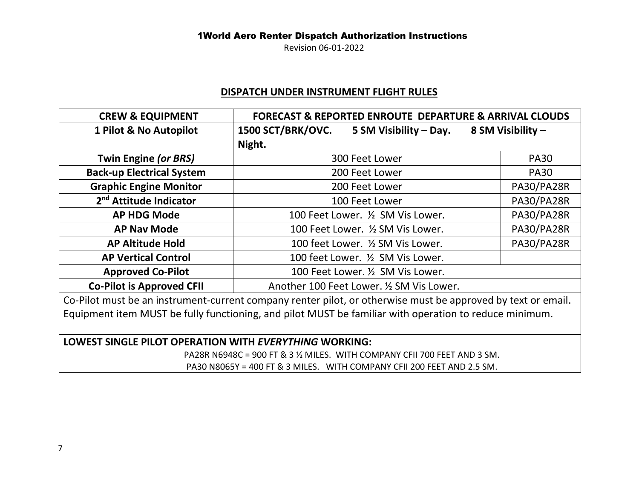Revision 06-01-2022

## **DISPATCH UNDER INSTRUMENT FLIGHT RULES**

| <b>CREW &amp; EQUIPMENT</b>                                                                                 | <b>FORECAST &amp; REPORTED ENROUTE DEPARTURE &amp; ARRIVAL CLOUDS</b> |                   |  |  |
|-------------------------------------------------------------------------------------------------------------|-----------------------------------------------------------------------|-------------------|--|--|
| 1 Pilot & No Autopilot                                                                                      | <b>1500 SCT/BRK/OVC.</b><br>5 SM Visibility – Day.                    | 8 SM Visibility - |  |  |
|                                                                                                             | Night.                                                                |                   |  |  |
| Twin Engine (or BRS)                                                                                        | 300 Feet Lower                                                        | <b>PA30</b>       |  |  |
| <b>Back-up Electrical System</b>                                                                            | 200 Feet Lower                                                        | <b>PA30</b>       |  |  |
| <b>Graphic Engine Monitor</b>                                                                               | PA30/PA28R<br>200 Feet Lower                                          |                   |  |  |
| 2 <sup>nd</sup> Attitude Indicator                                                                          | PA30/PA28R<br>100 Feet Lower                                          |                   |  |  |
| <b>AP HDG Mode</b>                                                                                          | 100 Feet Lower. 1/2 SM Vis Lower.                                     | PA30/PA28R        |  |  |
| <b>AP Nav Mode</b>                                                                                          | 100 Feet Lower. 1/2 SM Vis Lower.                                     | <b>PA30/PA28R</b> |  |  |
| <b>AP Altitude Hold</b>                                                                                     | 100 feet Lower. 1/2 SM Vis Lower.                                     | PA30/PA28R        |  |  |
| <b>AP Vertical Control</b>                                                                                  | 100 feet Lower. 1/2 SM Vis Lower.                                     |                   |  |  |
| <b>Approved Co-Pilot</b>                                                                                    | 100 Feet Lower. 1/2 SM Vis Lower.                                     |                   |  |  |
| <b>Co-Pilot is Approved CFII</b>                                                                            | Another 100 Feet Lower. 1/2 SM Vis Lower.                             |                   |  |  |
| Co Dilot must be an instrument surrent sempany renter pilot, as otherwise must be approved by text es email |                                                                       |                   |  |  |

Co-Pilot must be an instrument-current company renter pilot, or otherwise must be approved by text or email. Equipment item MUST be fully functioning, and pilot MUST be familiar with operation to reduce minimum.

## **LOWEST SINGLE PILOT OPERATION WITH** *EVERYTHING* **WORKING:**

PA28R N6948C = 900 FT & 3 ½ MILES. WITH COMPANY CFII 700 FEET AND 3 SM. PA30 N8065Y = 400 FT & 3 MILES. WITH COMPANY CFII 200 FEET AND 2.5 SM.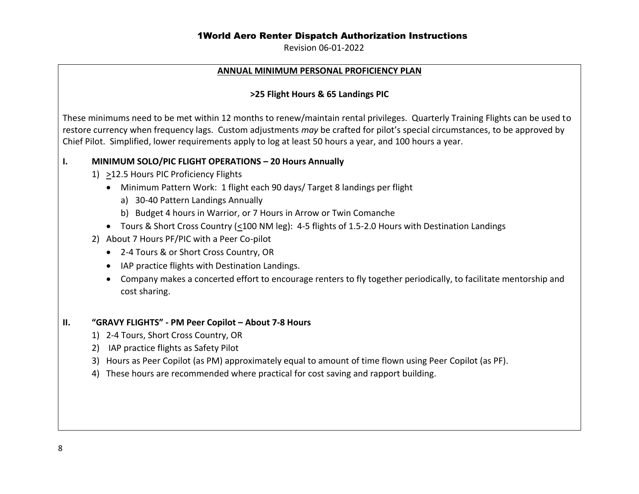Revision 06-01-2022

#### **ANNUAL MINIMUM PERSONAL PROFICIENCY PLAN**

#### **>25 Flight Hours & 65 Landings PIC**

These minimums need to be met within 12 months to renew/maintain rental privileges. Quarterly Training Flights can be used to restore currency when frequency lags. Custom adjustments *may* be crafted for pilot's special circumstances, to be approved by Chief Pilot. Simplified, lower requirements apply to log at least 50 hours a year, and 100 hours a year.

#### **I. MINIMUM SOLO/PIC FLIGHT OPERATIONS – 20 Hours Annually**

- 1) >12.5 Hours PIC Proficiency Flights
	- Minimum Pattern Work: 1 flight each 90 days/ Target 8 landings per flight
		- a) 30-40 Pattern Landings Annually
		- b) Budget 4 hours in Warrior, or 7 Hours in Arrow or Twin Comanche
	- Tours & Short Cross Country (<100 NM leg): 4-5 flights of 1.5-2.0 Hours with Destination Landings
- 2) About 7 Hours PF/PIC with a Peer Co-pilot
	- 2-4 Tours & or Short Cross Country, OR
	- IAP practice flights with Destination Landings.
	- Company makes a concerted effort to encourage renters to fly together periodically, to facilitate mentorship and cost sharing.

#### **II. "GRAVY FLIGHTS" - PM Peer Copilot – About 7-8 Hours**

- 1) 2-4 Tours, Short Cross Country, OR
- 2) IAP practice flights as Safety Pilot
- 3) Hours as Peer Copilot (as PM) approximately equal to amount of time flown using Peer Copilot (as PF).
- 4) These hours are recommended where practical for cost saving and rapport building.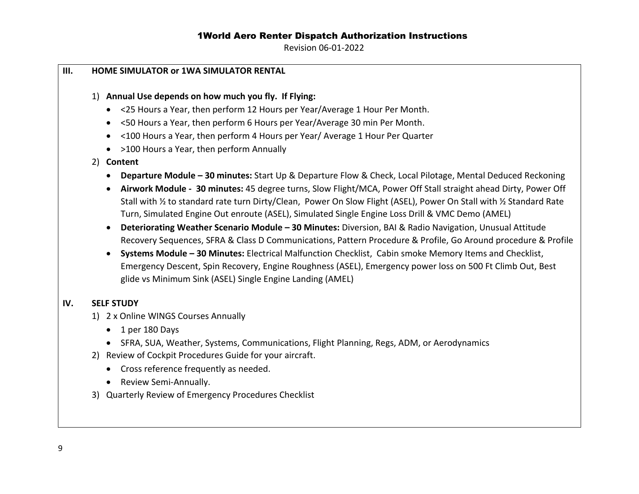Revision 06-01-2022

# **III. HOME SIMULATOR or 1WA SIMULATOR RENTAL**  1) **Annual Use depends on how much you fly. If Flying:** • <25 Hours a Year, then perform 12 Hours per Year/Average 1 Hour Per Month. • <50 Hours a Year, then perform 6 Hours per Year/Average 30 min Per Month. • <100 Hours a Year, then perform 4 Hours per Year/ Average 1 Hour Per Quarter • >100 Hours a Year, then perform Annually 2) **Content** • **Departure Module – 30 minutes:** Start Up & Departure Flow & Check, Local Pilotage, Mental Deduced Reckoning • **Airwork Module - 30 minutes:** 45 degree turns, Slow Flight/MCA, Power Off Stall straight ahead Dirty, Power Off Stall with ½ to standard rate turn Dirty/Clean, Power On Slow Flight (ASEL), Power On Stall with ½ Standard Rate Turn, Simulated Engine Out enroute (ASEL), Simulated Single Engine Loss Drill & VMC Demo (AMEL) • **Deteriorating Weather Scenario Module – 30 Minutes:** Diversion, BAI & Radio Navigation, Unusual Attitude Recovery Sequences, SFRA & Class D Communications, Pattern Procedure & Profile, Go Around procedure & Profile • **Systems Module – 30 Minutes:** Electrical Malfunction Checklist, Cabin smoke Memory Items and Checklist, Emergency Descent, Spin Recovery, Engine Roughness (ASEL), Emergency power loss on 500 Ft Climb Out, Best glide vs Minimum Sink (ASEL) Single Engine Landing (AMEL) **IV. SELF STUDY** 1) 2 x Online WINGS Courses Annually • 1 per 180 Days • SFRA, SUA, Weather, Systems, Communications, Flight Planning, Regs, ADM, or Aerodynamics 2) Review of Cockpit Procedures Guide for your aircraft. • Cross reference frequently as needed. • Review Semi-Annually. 3) Quarterly Review of Emergency Procedures Checklist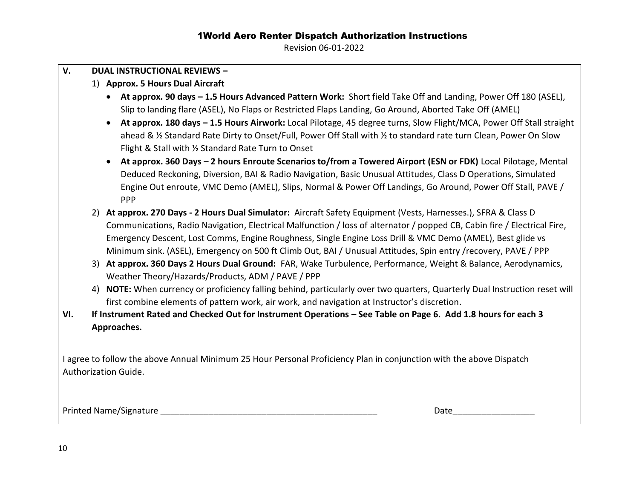Revision 06-01-2022

| V.  |    | <b>DUAL INSTRUCTIONAL REVIEWS -</b>                                                                                                                                                                                                                                                                                                                                                                                                                                                                                                                                                                                                                                                                                                                                                      |
|-----|----|------------------------------------------------------------------------------------------------------------------------------------------------------------------------------------------------------------------------------------------------------------------------------------------------------------------------------------------------------------------------------------------------------------------------------------------------------------------------------------------------------------------------------------------------------------------------------------------------------------------------------------------------------------------------------------------------------------------------------------------------------------------------------------------|
|     |    | 1) Approx. 5 Hours Dual Aircraft                                                                                                                                                                                                                                                                                                                                                                                                                                                                                                                                                                                                                                                                                                                                                         |
|     |    | • At approx. 90 days - 1.5 Hours Advanced Pattern Work: Short field Take Off and Landing, Power Off 180 (ASEL),<br>Slip to landing flare (ASEL), No Flaps or Restricted Flaps Landing, Go Around, Aborted Take Off (AMEL)<br>At approx. 180 days - 1.5 Hours Airwork: Local Pilotage, 45 degree turns, Slow Flight/MCA, Power Off Stall straight<br>$\bullet$<br>ahead & 1/2 Standard Rate Dirty to Onset/Full, Power Off Stall with 1/2 to standard rate turn Clean, Power On Slow<br>Flight & Stall with 1/2 Standard Rate Turn to Onset<br>At approx. 360 Days - 2 hours Enroute Scenarios to/from a Towered Airport (ESN or FDK) Local Pilotage, Mental<br>$\bullet$<br>Deduced Reckoning, Diversion, BAI & Radio Navigation, Basic Unusual Attitudes, Class D Operations, Simulated |
|     |    | Engine Out enroute, VMC Demo (AMEL), Slips, Normal & Power Off Landings, Go Around, Power Off Stall, PAVE /<br>PPP                                                                                                                                                                                                                                                                                                                                                                                                                                                                                                                                                                                                                                                                       |
|     | 2) | At approx. 270 Days - 2 Hours Dual Simulator: Aircraft Safety Equipment (Vests, Harnesses.), SFRA & Class D<br>Communications, Radio Navigation, Electrical Malfunction / loss of alternator / popped CB, Cabin fire / Electrical Fire,<br>Emergency Descent, Lost Comms, Engine Roughness, Single Engine Loss Drill & VMC Demo (AMEL), Best glide vs<br>Minimum sink. (ASEL), Emergency on 500 ft Climb Out, BAI / Unusual Attitudes, Spin entry /recovery, PAVE / PPP                                                                                                                                                                                                                                                                                                                  |
|     |    | 3) At approx. 360 Days 2 Hours Dual Ground: FAR, Wake Turbulence, Performance, Weight & Balance, Aerodynamics,<br>Weather Theory/Hazards/Products, ADM / PAVE / PPP                                                                                                                                                                                                                                                                                                                                                                                                                                                                                                                                                                                                                      |
|     |    | 4) NOTE: When currency or proficiency falling behind, particularly over two quarters, Quarterly Dual Instruction reset will<br>first combine elements of pattern work, air work, and navigation at Instructor's discretion.                                                                                                                                                                                                                                                                                                                                                                                                                                                                                                                                                              |
| VI. |    | If Instrument Rated and Checked Out for Instrument Operations - See Table on Page 6. Add 1.8 hours for each 3<br>Approaches.                                                                                                                                                                                                                                                                                                                                                                                                                                                                                                                                                                                                                                                             |
|     |    | I agree to follow the above Annual Minimum 25 Hour Personal Proficiency Plan in conjunction with the above Dispatch<br>Authorization Guide.                                                                                                                                                                                                                                                                                                                                                                                                                                                                                                                                                                                                                                              |
|     |    | Printed Name/Signature <b>Example 2018</b><br>Date and the second second second second second second second second second second second second second second second second second second second second second second second second second second second second second second                                                                                                                                                                                                                                                                                                                                                                                                                                                                                                             |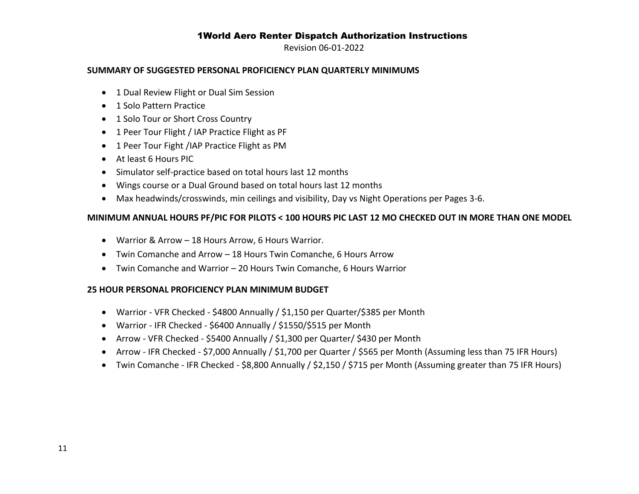Revision 06-01-2022

#### **SUMMARY OF SUGGESTED PERSONAL PROFICIENCY PLAN QUARTERLY MINIMUMS**

- 1 Dual Review Flight or Dual Sim Session
- 1 Solo Pattern Practice
- 1 Solo Tour or Short Cross Country
- 1 Peer Tour Flight / IAP Practice Flight as PF
- 1 Peer Tour Fight /IAP Practice Flight as PM
- At least 6 Hours PIC
- Simulator self-practice based on total hours last 12 months
- Wings course or a Dual Ground based on total hours last 12 months
- Max headwinds/crosswinds, min ceilings and visibility, Day vs Night Operations per Pages 3-6.

#### **MINIMUM ANNUAL HOURS PF/PIC FOR PILOTS < 100 HOURS PIC LAST 12 MO CHECKED OUT IN MORE THAN ONE MODEL**

- Warrior & Arrow 18 Hours Arrow, 6 Hours Warrior.
- Twin Comanche and Arrow 18 Hours Twin Comanche, 6 Hours Arrow
- Twin Comanche and Warrior 20 Hours Twin Comanche, 6 Hours Warrior

#### **25 HOUR PERSONAL PROFICIENCY PLAN MINIMUM BUDGET**

- Warrior VFR Checked \$4800 Annually / \$1,150 per Quarter/\$385 per Month
- Warrior IFR Checked \$6400 Annually / \$1550/\$515 per Month
- Arrow VFR Checked \$5400 Annually / \$1,300 per Quarter/ \$430 per Month
- Arrow IFR Checked \$7,000 Annually / \$1,700 per Quarter / \$565 per Month (Assuming less than 75 IFR Hours)
- Twin Comanche IFR Checked \$8,800 Annually / \$2,150 / \$715 per Month (Assuming greater than 75 IFR Hours)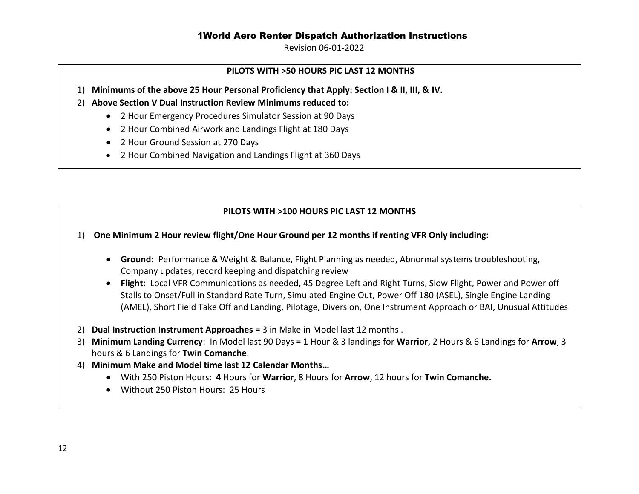Revision 06-01-2022

#### **PILOTS WITH >50 HOURS PIC LAST 12 MONTHS**

- 1) **Minimums of the above 25 Hour Personal Proficiency that Apply: Section I & II, III, & IV.**
- 2) **Above Section V Dual Instruction Review Minimums reduced to:**
	- 2 Hour Emergency Procedures Simulator Session at 90 Days
	- 2 Hour Combined Airwork and Landings Flight at 180 Days
	- 2 Hour Ground Session at 270 Days
	- 2 Hour Combined Navigation and Landings Flight at 360 Days

## **PILOTS WITH >100 HOURS PIC LAST 12 MONTHS**

#### 1) **One Minimum 2 Hour review flight/One Hour Ground per 12 months if renting VFR Only including:**

- **Ground:** Performance & Weight & Balance, Flight Planning as needed, Abnormal systems troubleshooting, Company updates, record keeping and dispatching review
- **Flight:** Local VFR Communications as needed, 45 Degree Left and Right Turns, Slow Flight, Power and Power off Stalls to Onset/Full in Standard Rate Turn, Simulated Engine Out, Power Off 180 (ASEL), Single Engine Landing (AMEL), Short Field Take Off and Landing, Pilotage, Diversion, One Instrument Approach or BAI, Unusual Attitudes
- 2) **Dual Instruction Instrument Approaches** = 3 in Make in Model last 12 months .
- 3) **Minimum Landing Currency**: In Model last 90 Days = 1 Hour & 3 landings for **Warrior**, 2 Hours & 6 Landings for **Arrow**, 3 hours & 6 Landings for **Twin Comanche**.
- 4) **Minimum Make and Model time last 12 Calendar Months…**
	- With 250 Piston Hours: **4** Hours for **Warrior**, 8 Hours for **Arrow**, 12 hours for **Twin Comanche.**
	- Without 250 Piston Hours: 25 Hours